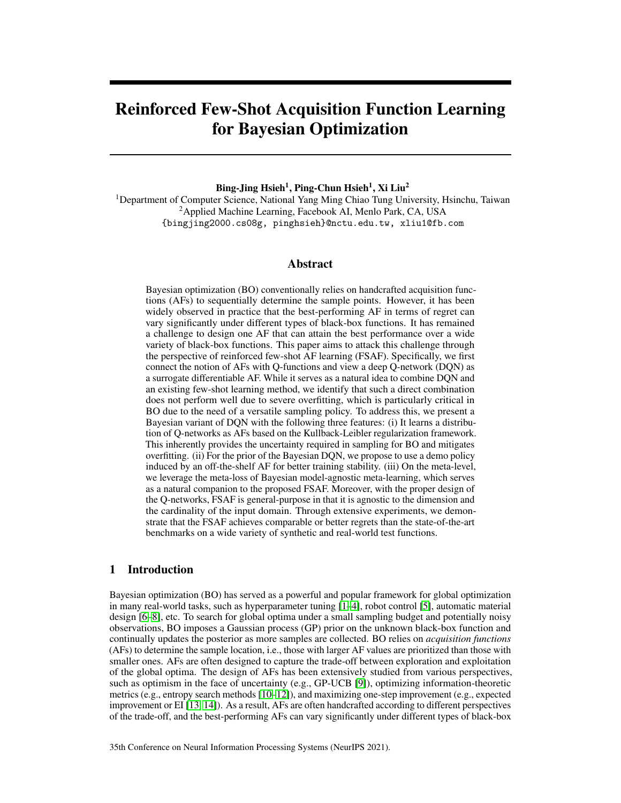# <span id="page-0-0"></span>Reinforced Few-Shot Acquisition Function Learning for Bayesian Optimization

Bing-Jing Hsieh<sup>1</sup>, Ping-Chun Hsieh<sup>1</sup>, Xi Liu<sup>2</sup>

<sup>1</sup>Department of Computer Science, National Yang Ming Chiao Tung University, Hsinchu, Taiwan <sup>2</sup> Applied Machine Learning, Facebook AI, Menlo Park, CA, USA {bingjing2000.cs08g, pinghsieh}@nctu.edu.tw, xliu1@fb.com

# Abstract

Bayesian optimization (BO) conventionally relies on handcrafted acquisition functions (AFs) to sequentially determine the sample points. However, it has been widely observed in practice that the best-performing AF in terms of regret can vary significantly under different types of black-box functions. It has remained a challenge to design one AF that can attain the best performance over a wide variety of black-box functions. This paper aims to attack this challenge through the perspective of reinforced few-shot AF learning (FSAF). Specifically, we first connect the notion of AFs with Q-functions and view a deep Q-network (DQN) as a surrogate differentiable AF. While it serves as a natural idea to combine DQN and an existing few-shot learning method, we identify that such a direct combination does not perform well due to severe overfitting, which is particularly critical in BO due to the need of a versatile sampling policy. To address this, we present a Bayesian variant of DQN with the following three features: (i) It learns a distribution of Q-networks as AFs based on the Kullback-Leibler regularization framework. This inherently provides the uncertainty required in sampling for BO and mitigates overfitting. (ii) For the prior of the Bayesian DQN, we propose to use a demo policy induced by an off-the-shelf AF for better training stability. (iii) On the meta-level, we leverage the meta-loss of Bayesian model-agnostic meta-learning, which serves as a natural companion to the proposed FSAF. Moreover, with the proper design of the Q-networks, FSAF is general-purpose in that it is agnostic to the dimension and the cardinality of the input domain. Through extensive experiments, we demonstrate that the FSAF achieves comparable or better regrets than the state-of-the-art benchmarks on a wide variety of synthetic and real-world test functions.

# <span id="page-0-1"></span>1 Introduction

Bayesian optimization (BO) has served as a powerful and popular framework for global optimization in many real-world tasks, such as hyperparameter tuning [\[1–](#page-10-0)[4\]](#page-10-1), robot control [\[5\]](#page-10-2), automatic material design [\[6](#page-10-3)[–8\]](#page-10-4), etc. To search for global optima under a small sampling budget and potentially noisy observations, BO imposes a Gaussian process (GP) prior on the unknown black-box function and continually updates the posterior as more samples are collected. BO relies on *acquisition functions* (AFs) to determine the sample location, i.e., those with larger AF values are prioritized than those with smaller ones. AFs are often designed to capture the trade-off between exploration and exploitation of the global optima. The design of AFs has been extensively studied from various perspectives, such as optimism in the face of uncertainty (e.g., GP-UCB [\[9\]](#page-10-5)), optimizing information-theoretic metrics (e.g., entropy search methods [\[10–](#page-10-6)[12\]](#page-10-7)), and maximizing one-step improvement (e.g., expected improvement or EI [\[13,](#page-10-8) [14\]](#page-10-9)). As a result, AFs are often handcrafted according to different perspectives of the trade-off, and the best-performing AFs can vary significantly under different types of black-box

35th Conference on Neural Information Processing Systems (NeurIPS 2021).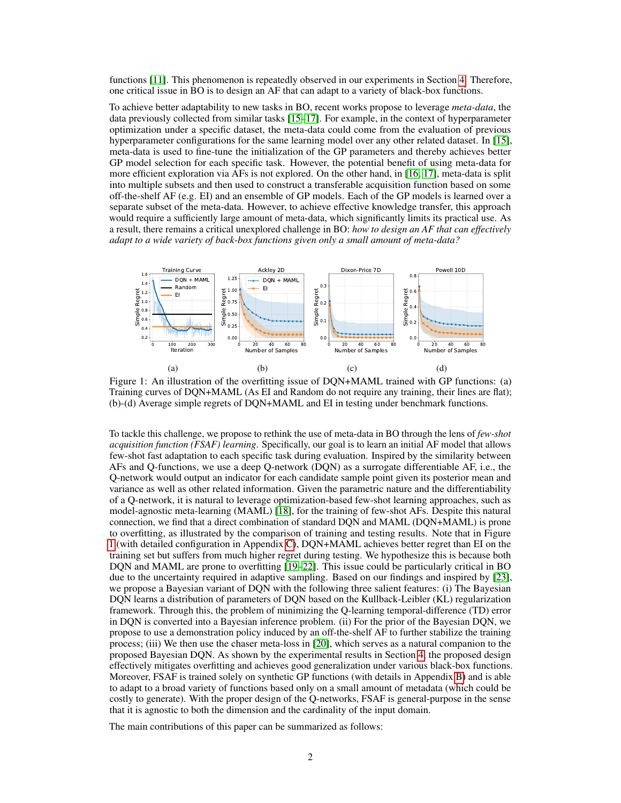functions [\[11\]](#page-10-10). This phenomenon is repeatedly observed in our experiments in Section [4.](#page-6-0) Therefore, one critical issue in BO is to design an AF that can adapt to a variety of black-box functions.

To achieve better adaptability to new tasks in BO, recent works propose to leverage *meta-data*, the data previously collected from similar tasks [\[15–](#page-10-11)[17\]](#page-11-0). For example, in the context of hyperparameter optimization under a specific dataset, the meta-data could come from the evaluation of previous hyperparameter configurations for the same learning model over any other related dataset. In [\[15\]](#page-10-11), meta-data is used to fine-tune the initialization of the GP parameters and thereby achieves better GP model selection for each specific task. However, the potential benefit of using meta-data for more efficient exploration via AFs is not explored. On the other hand, in [\[16,](#page-10-12) [17\]](#page-11-0), meta-data is split into multiple subsets and then used to construct a transferable acquisition function based on some off-the-shelf AF (e.g. EI) and an ensemble of GP models. Each of the GP models is learned over a separate subset of the meta-data. However, to achieve effective knowledge transfer, this approach would require a sufficiently large amount of meta-data, which significantly limits its practical use. As a result, there remains a critical unexplored challenge in BO: *how to design an AF that can effectively adapt to a wide variety of back-box functions given only a small amount of meta-data?*

<span id="page-1-0"></span>

Figure 1: An illustration of the overfitting issue of DQN+MAML trained with GP functions: (a) Training curves of DQN+MAML (As EI and Random do not require any training, their lines are flat); (b)-(d) Average simple regrets of DQN+MAML and EI in testing under benchmark functions.

To tackle this challenge, we propose to rethink the use of meta-data in BO through the lens of *few-shot acquisition function (FSAF) learning*. Specifically, our goal is to learn an initial AF model that allows few-shot fast adaptation to each specific task during evaluation. Inspired by the similarity between AFs and Q-functions, we use a deep Q-network (DQN) as a surrogate differentiable AF, i.e., the Q-network would output an indicator for each candidate sample point given its posterior mean and variance as well as other related information. Given the parametric nature and the differentiability of a Q-network, it is natural to leverage optimization-based few-shot learning approaches, such as model-agnostic meta-learning (MAML) [\[18\]](#page-11-1), for the training of few-shot AFs. Despite this natural connection, we find that a direct combination of standard DQN and MAML (DQN+MAML) is prone to overfitting, as illustrated by the comparison of training and testing results. Note that in Figure [1](#page-1-0) (with detailed configuration in Appendix [C\)](#page--1-0), DQN+MAML achieves better regret than EI on the training set but suffers from much higher regret during testing. We hypothesize this is because both DQN and MAML are prone to overfitting [\[19–](#page-11-2)[22\]](#page-11-3). This issue could be particularly critical in BO due to the uncertainty required in adaptive sampling. Based on our findings and inspired by [\[23\]](#page-11-4), we propose a Bayesian variant of DQN with the following three salient features: (i) The Bayesian DQN learns a distribution of parameters of DQN based on the Kullback-Leibler (KL) regularization framework. Through this, the problem of minimizing the Q-learning temporal-difference (TD) error in DQN is converted into a Bayesian inference problem. (ii) For the prior of the Bayesian DQN, we propose to use a demonstration policy induced by an off-the-shelf AF to further stabilize the training process; (iii) We then use the chaser meta-loss in [\[20\]](#page-11-5), which serves as a natural companion to the proposed Bayesian DQN. As shown by the experimental results in Section [4,](#page-6-0) the proposed design effectively mitigates overfitting and achieves good generalization under various black-box functions. Moreover, FSAF is trained solely on synthetic GP functions (with details in Appendix [B\)](#page--1-1) and is able to adapt to a broad variety of functions based only on a small amount of metadata (which could be costly to generate). With the proper design of the Q-networks, FSAF is general-purpose in the sense that it is agnostic to both the dimension and the cardinality of the input domain.

The main contributions of this paper can be summarized as follows: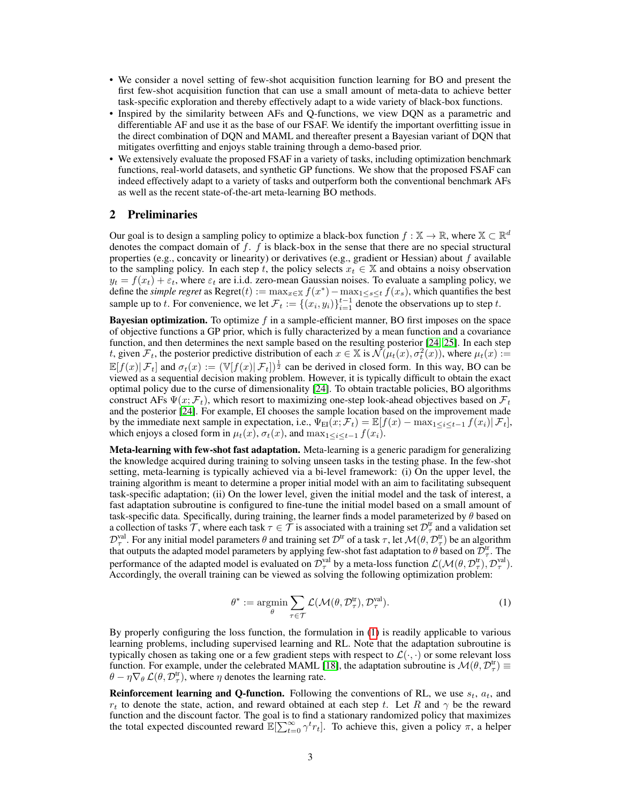- We consider a novel setting of few-shot acquisition function learning for BO and present the first few-shot acquisition function that can use a small amount of meta-data to achieve better task-specific exploration and thereby effectively adapt to a wide variety of black-box functions.
- Inspired by the similarity between AFs and Q-functions, we view DQN as a parametric and differentiable AF and use it as the base of our FSAF. We identify the important overfitting issue in the direct combination of DQN and MAML and thereafter present a Bayesian variant of DQN that mitigates overfitting and enjoys stable training through a demo-based prior.
- We extensively evaluate the proposed FSAF in a variety of tasks, including optimization benchmark functions, real-world datasets, and synthetic GP functions. We show that the proposed FSAF can indeed effectively adapt to a variety of tasks and outperform both the conventional benchmark AFs as well as the recent state-of-the-art meta-learning BO methods.

# <span id="page-2-1"></span>2 Preliminaries

Our goal is to design a sampling policy to optimize a black-box function  $f : \mathbb{X} \to \mathbb{R}$ , where  $\mathbb{X} \subset \mathbb{R}^d$ denotes the compact domain of  $f$ .  $f$  is black-box in the sense that there are no special structural properties (e.g., concavity or linearity) or derivatives (e.g., gradient or Hessian) about f available to the sampling policy. In each step t, the policy selects  $x_t \in \mathbb{X}$  and obtains a noisy observation  $y_t = f(x_t) + \varepsilon_t$ , where  $\varepsilon_t$  are i.i.d. zero-mean Gaussian noises. To evaluate a sampling policy, we define the *simple regret* as  $Regret(t) := \max_{x \in \mathbb{X}} f(x^*) - \max_{1 \le s \le t} f(x_s)$ , which quantifies the best sample up to t. For convenience, we let  $\mathcal{F}_t := \{(x_i, y_i)\}_{i=1}^{t-1}$  denote the observations up to step t.

**Bayesian optimization.** To optimize f in a sample-efficient manner, BO first imposes on the space of objective functions a GP prior, which is fully characterized by a mean function and a covariance function, and then determines the next sample based on the resulting posterior [\[24,](#page-11-6) [25\]](#page-11-7). In each step t, given  $\mathcal{F}_t$ , the posterior predictive distribution of each  $x \in \mathbb{X}$  is  $\mathcal{N}(\mu_t(x), \sigma_t^2(x))$ , where  $\mu_t(x) :=$  $\mathbb{E}[f(x)|\mathcal{F}_t]$  and  $\sigma_t(x) := (\mathbb{V}[f(x)|\mathcal{F}_t])^{\frac{1}{2}}$  can be derived in closed form. In this way, BO can be viewed as a sequential decision making problem. However, it is typically difficult to obtain the exact optimal policy due to the curse of dimensionality [\[24\]](#page-11-6). To obtain tractable policies, BO algorithms construct AFs  $\Psi(x; \mathcal{F}_t)$ , which resort to maximizing one-step look-ahead objectives based on  $\mathcal{F}_t$ and the posterior [\[24\]](#page-11-6). For example, EI chooses the sample location based on the improvement made by the immediate next sample in expectation, i.e.,  $\Psi_{EI}(x; \mathcal{F}_t) = \mathbb{E}[f(x) - \max_{1 \leq i \leq t-1} f(x_i) | \mathcal{F}_t]$ , which enjoys a closed form in  $\mu_t(x)$ ,  $\sigma_t(x)$ , and  $\max_{1 \leq i \leq t-1} f(x_i)$ .

Meta-learning with few-shot fast adaptation. Meta-learning is a generic paradigm for generalizing the knowledge acquired during training to solving unseen tasks in the testing phase. In the few-shot setting, meta-learning is typically achieved via a bi-level framework: (i) On the upper level, the training algorithm is meant to determine a proper initial model with an aim to facilitating subsequent task-specific adaptation; (ii) On the lower level, given the initial model and the task of interest, a fast adaptation subroutine is configured to fine-tune the initial model based on a small amount of task-specific data. Specifically, during training, the learner finds a model parameterized by  $\theta$  based on a collection of tasks  $\mathcal{T}$ , where each task  $\tau \in \mathcal{T}$  is associated with a training set  $\mathcal{D}^{\text{tr}}_{\tau}$  and a validation set  $\mathcal{D}^{\text{val}}_{\tau}$ . For any initial model parameters  $\theta$  and training set  $\mathcal{D}^{\text{tr}}$  of a task  $\tau$ , let  $\mathcal{M}(\theta, \mathcal{D}^{\text{tr}}_{\tau})$  be an algorithm that outputs the adapted model parameters by applying few-shot fast adaptation to  $\theta$  based on  $\bar{\mathcal{D}}_{\tau}^{\text{tr}}$ . The performance of the adapted model is evaluated on  $\mathcal{D}^{\text{val}}_{\tau}$  by a meta-loss function  $\mathcal{L}(\mathcal{M}(\theta, \mathcal{D}^{\text{tr}}_{\tau}), \mathcal{D}^{\text{val}}_{\tau}).$ Accordingly, the overall training can be viewed as solving the following optimization problem:

$$
\theta^* := \underset{\theta}{\text{argmin}} \sum_{\tau \in \mathcal{T}} \mathcal{L}(\mathcal{M}(\theta, \mathcal{D}_{\tau}^{\text{tr}}), \mathcal{D}_{\tau}^{\text{val}}). \tag{1}
$$

<span id="page-2-0"></span>By properly configuring the loss function, the formulation in [\(1\)](#page-2-0) is readily applicable to various learning problems, including supervised learning and RL. Note that the adaptation subroutine is typically chosen as taking one or a few gradient steps with respect to  $\mathcal{L}(\cdot, \cdot)$  or some relevant loss function. For example, under the celebrated MAML [\[18\]](#page-11-1), the adaptation subroutine is  $\mathcal{M}(\theta, \mathcal{D}^{\text{tr}}_{\tau})$  $\theta - \eta \nabla_{\theta} \mathcal{L}(\theta, \mathcal{D}_{\tau}^{\text{tr}})$ , where  $\eta$  denotes the learning rate.

**Reinforcement learning and Q-function.** Following the conventions of RL, we use  $s_t$ ,  $a_t$ , and  $r_t$  to denote the state, action, and reward obtained at each step t. Let R and  $\gamma$  be the reward function and the discount factor. The goal is to find a stationary randomized policy that maximizes the total expected discounted reward  $\mathbb{E}[\sum_{t=0}^{\infty} \gamma^t r_t]$ . To achieve this, given a policy  $\pi$ , a helper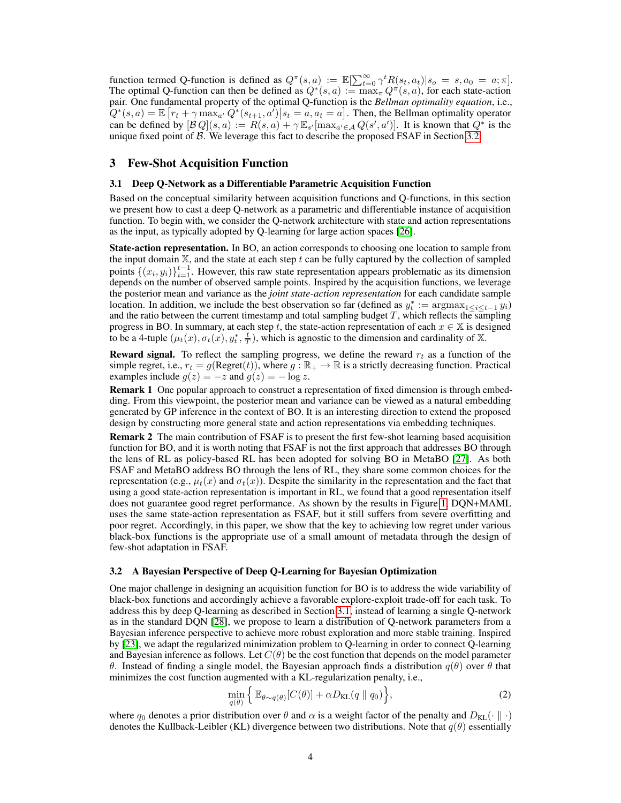function termed Q-function is defined as  $Q^{\pi}(s, a) := \mathbb{E}[\sum_{t=0}^{\infty} \gamma^t R(s_t, a_t) | s_o = s, a_0 = a; \pi].$ The optimal Q-function can then be defined as  $Q^*(s, a) := \max_{\pi} Q^{\pi}(s, a)$ , for each state-action pair. One fundamental property of the optimal Q-function is the *Bellman optimality equation*, i.e.,  $Q^*(s, a) = \mathbb{E}\left[r_t + \gamma \max_{a'} Q^*(s_{t+1}, a')\big|s_t = a, a_t = a\right]$ . Then, the Bellman optimality operator can be defined by  $[\mathcal{B}Q](s, a) := R(s, a) + \gamma \mathbb{E}_{s'}[\max_{a' \in \mathcal{A}} Q(s', a')]$ . It is known that  $Q^*$  is the unique fixed point of  $\beta$ . We leverage this fact to describe the proposed FSAF in Section [3.2.](#page-3-0)

## <span id="page-3-3"></span>3 Few-Shot Acquisition Function

#### <span id="page-3-1"></span>3.1 Deep Q-Network as a Differentiable Parametric Acquisition Function

Based on the conceptual similarity between acquisition functions and Q-functions, in this section we present how to cast a deep Q-network as a parametric and differentiable instance of acquisition function. To begin with, we consider the Q-network architecture with state and action representations as the input, as typically adopted by Q-learning for large action spaces [\[26\]](#page-11-8).

State-action representation. In BO, an action corresponds to choosing one location to sample from the input domain  $X$ , and the state at each step t can be fully captured by the collection of sampled points  $\{(x_i, y_i)\}_{i=1}^{t-1}$ . However, this raw state representation appears problematic as its dimension depends on the number of observed sample points. Inspired by the acquisition functions, we leverage the posterior mean and variance as the *joint state-action representation* for each candidate sample location. In addition, we include the best observation so far (defined as  $y_t^* := \text{argmax}_{1 \leq i \leq t-1} y_i$ ) and the ratio between the current timestamp and total sampling budget  $T$ , which reflects the sampling progress in BO. In summary, at each step t, the state-action representation of each  $x \in X$  is designed to be a 4-tuple  $(\mu_t(x), \sigma_t(x), y_t^*, \frac{t}{T})$ , which is agnostic to the dimension and cardinality of X.

**Reward signal.** To reflect the sampling progress, we define the reward  $r_t$  as a function of the simple regret, i.e.,  $r_t = g(\text{Regret}(t))$ , where  $g : \mathbb{R}_+ \to \mathbb{R}$  is a strictly decreasing function. Practical examples include  $g(z) = -z$  and  $g(z) = -\log z$ .

Remark 1 One popular approach to construct a representation of fixed dimension is through embedding. From this viewpoint, the posterior mean and variance can be viewed as a natural embedding generated by GP inference in the context of BO. It is an interesting direction to extend the proposed design by constructing more general state and action representations via embedding techniques.

Remark 2 The main contribution of FSAF is to present the first few-shot learning based acquisition function for BO, and it is worth noting that FSAF is not the first approach that addresses BO through the lens of RL as policy-based RL has been adopted for solving BO in MetaBO [\[27\]](#page-11-9). As both FSAF and MetaBO address BO through the lens of RL, they share some common choices for the representation (e.g.,  $\mu_t(x)$  and  $\sigma_t(x)$ ). Despite the similarity in the representation and the fact that using a good state-action representation is important in RL, we found that a good representation itself does not guarantee good regret performance. As shown by the results in Figure [1,](#page-1-0) DQN+MAML uses the same state-action representation as FSAF, but it still suffers from severe overfitting and poor regret. Accordingly, in this paper, we show that the key to achieving low regret under various black-box functions is the appropriate use of a small amount of metadata through the design of few-shot adaptation in FSAF.

#### <span id="page-3-0"></span>3.2 A Bayesian Perspective of Deep Q-Learning for Bayesian Optimization

One major challenge in designing an acquisition function for BO is to address the wide variability of black-box functions and accordingly achieve a favorable explore-exploit trade-off for each task. To address this by deep Q-learning as described in Section [3.1,](#page-3-1) instead of learning a single Q-network as in the standard DQN [\[28\]](#page-11-10), we propose to learn a distribution of Q-network parameters from a Bayesian inference perspective to achieve more robust exploration and more stable training. Inspired by [\[23\]](#page-11-4), we adapt the regularized minimization problem to Q-learning in order to connect Q-learning and Bayesian inference as follows. Let  $C(\theta)$  be the cost function that depends on the model parameter θ. Instead of finding a single model, the Bayesian approach finds a distribution q(θ) over θ that minimizes the cost function augmented with a KL-regularization penalty, i.e.,

<span id="page-3-2"></span>
$$
\min_{q(\theta)} \left\{ \mathbb{E}_{\theta \sim q(\theta)}[C(\theta)] + \alpha D_{\text{KL}}(q \parallel q_0) \right\},\tag{2}
$$

where  $q_0$  denotes a prior distribution over  $\theta$  and  $\alpha$  is a weight factor of the penalty and  $D_{KL}(\cdot | \cdot)$ denotes the Kullback-Leibler (KL) divergence between two distributions. Note that  $q(\theta)$  essentially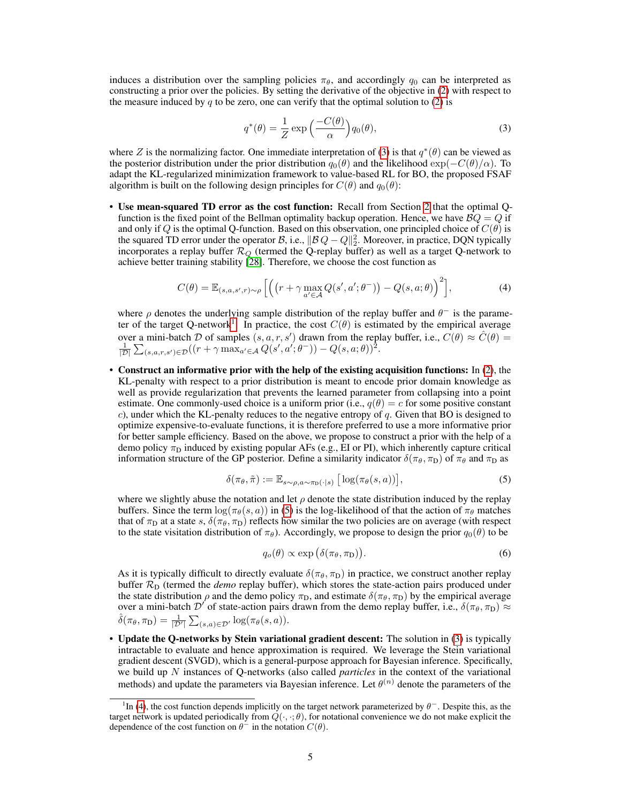induces a distribution over the sampling policies  $\pi_{\theta}$ , and accordingly  $q_0$  can be interpreted as constructing a prior over the policies. By setting the derivative of the objective in [\(2\)](#page-3-2) with respect to the measure induced by q to be zero, one can verify that the optimal solution to [\(2\)](#page-3-2) is

<span id="page-4-2"></span><span id="page-4-0"></span>
$$
q^*(\theta) = \frac{1}{Z} \exp\left(\frac{-C(\theta)}{\alpha}\right) q_0(\theta),\tag{3}
$$

where Z is the normalizing factor. One immediate interpretation of [\(3\)](#page-4-0) is that  $q^*(\theta)$  can be viewed as the posterior distribution under the prior distribution  $q_0(\theta)$  and the likelihood  $\exp(-C(\theta)/\alpha)$ . To adapt the KL-regularized minimization framework to value-based RL for BO, the proposed FSAF algorithm is built on the following design principles for  $C(\theta)$  and  $q_0(\theta)$ :

• Use mean-squared TD error as the cost function: Recall from Section [2](#page-2-1) that the optimal Qfunction is the fixed point of the Bellman optimality backup operation. Hence, we have  $BQ = Q$  if and only if Q is the optimal Q-function. Based on this observation, one principled choice of  $C(\theta)$  is the squared TD error under the operator B, i.e.,  $||B Q - Q||_2^2$ . Moreover, in practice, DQN typically incorporates a replay buffer  $\mathcal{R}_Q$  (termed the Q-replay buffer) as well as a target Q-network to achieve better training stability [\[28\]](#page-11-10). Therefore, we choose the cost function as

$$
C(\theta) = \mathbb{E}_{(s,a,s',r)\sim\rho} \left[ \left( \left( r + \gamma \max_{a' \in \mathcal{A}} Q(s',a';\theta^{-}) \right) - Q(s,a;\theta) \right)^2 \right],\tag{4}
$$

where  $\rho$  denotes the underlying sample distribution of the replay buffer and  $\theta^-$  is the parame-ter of the target Q-network<sup>[1](#page-0-0)</sup>. In practice, the cost  $C(\theta)$  is estimated by the empirical average over a mini-batch D of samples  $(s, a, r, s')$  drawn from the replay buffer, i.e.,  $C(\theta) \approx \hat{C}(\theta) = \frac{1}{|\mathcal{D}|} \sum_{(s, a, r, s') \in \mathcal{D}} ((r + \gamma \max_{a' \in \mathcal{A}} Q(s', a'; \theta^{-})) - Q(s, a; \theta))^{2}$ .

• Construct an informative prior with the help of the existing acquisition functions: In [\(2\)](#page-3-2), the KL-penalty with respect to a prior distribution is meant to encode prior domain knowledge as well as provide regularization that prevents the learned parameter from collapsing into a point estimate. One commonly-used choice is a uniform prior (i.e.,  $q(\theta) = c$  for some positive constant c), under which the KL-penalty reduces to the negative entropy of q. Given that BO is designed to optimize expensive-to-evaluate functions, it is therefore preferred to use a more informative prior for better sample efficiency. Based on the above, we propose to construct a prior with the help of a demo policy  $\pi_D$  induced by existing popular AFs (e.g., EI or PI), which inherently capture critical information structure of the GP posterior. Define a similarity indicator  $\delta(\pi_\theta, \pi_D)$  of  $\pi_\theta$  and  $\pi_D$  as

$$
\delta(\pi_{\theta}, \tilde{\pi}) := \mathbb{E}_{s \sim \rho, a \sim \pi_D(\cdot | s)} \left[ \log(\pi_{\theta}(s, a)) \right],\tag{5}
$$

where we slightly abuse the notation and let  $\rho$  denote the state distribution induced by the replay buffers. Since the term  $\log(\pi_{\theta}(s, a))$  in [\(5\)](#page-4-1) is the log-likelihood of that the action of  $\pi_{\theta}$  matches that of  $\pi_D$  at a state s,  $\delta(\pi_\theta, \pi_D)$  reflects how similar the two policies are on average (with respect to the state visitation distribution of  $\pi_{\theta}$ ). Accordingly, we propose to design the prior  $q_0(\theta)$  to be

<span id="page-4-3"></span><span id="page-4-1"></span>
$$
q_o(\theta) \propto \exp\left(\delta(\pi_\theta, \pi_\text{D})\right). \tag{6}
$$

As it is typically difficult to directly evaluate  $\delta(\pi_\theta, \pi_D)$  in practice, we construct another replay buffer  $\mathcal{R}_D$  (termed the *demo* replay buffer), which stores the state-action pairs produced under the state distribution  $\rho$  and the demo policy  $\pi_D$ , and estimate  $\delta(\pi_\theta, \pi_D)$  by the empirical average over a mini-batch  $\mathcal{D}'$  of state-action pairs drawn from the demo replay buffer, i.e.,  $\delta(\pi_\theta, \pi_D) \approx$  $\hat{\delta}(\pi_{\theta}, \pi_{\text{D}}) = \frac{1}{|\mathcal{D}'|} \sum_{(s,a) \in \mathcal{D}'} \log(\pi_{\theta}(s, a)).$ 

• Update the Q-networks by Stein variational gradient descent: The solution in [\(3\)](#page-4-0) is typically intractable to evaluate and hence approximation is required. We leverage the Stein variational gradient descent (SVGD), which is a general-purpose approach for Bayesian inference. Specifically, we build up N instances of Q-networks (also called *particles* in the context of the variational methods) and update the parameters via Bayesian inference. Let  $\theta^{(n)}$  denote the parameters of the

<sup>&</sup>lt;sup>1</sup>In [\(4\)](#page-4-2), the cost function depends implicitly on the target network parameterized by  $\theta^-$ . Despite this, as the target network is updated periodically from  $Q(\cdot, \cdot; \theta)$ , for notational convenience we do not make explicit the dependence of the cost function on  $\theta^-$  in the notation  $C(\theta)$ .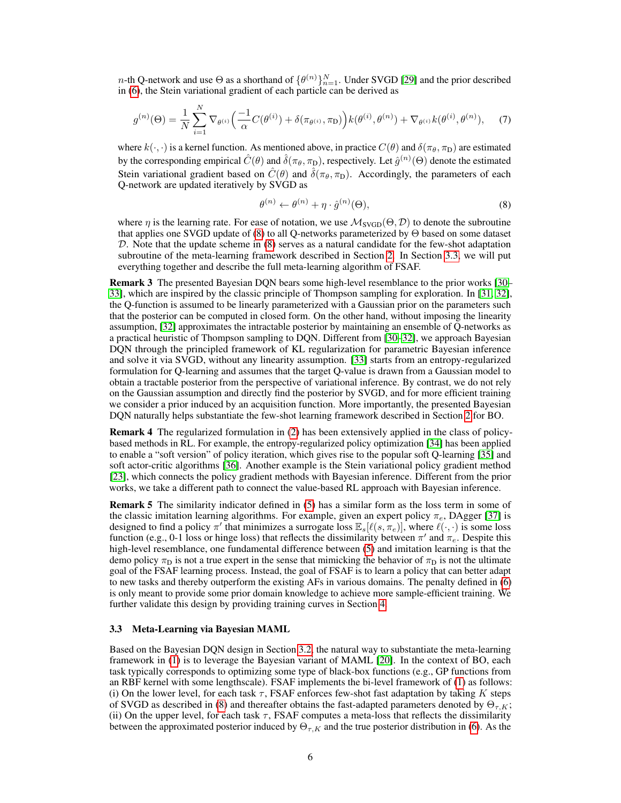*n*-th Q-network and use  $\Theta$  as a shorthand of  $\{\theta^{(n)}\}_{n=1}^N$ . Under SVGD [\[29\]](#page-11-11) and the prior described in [\(6\)](#page-4-3), the Stein variational gradient of each particle can be derived as

$$
g^{(n)}(\Theta) = \frac{1}{N} \sum_{i=1}^{N} \nabla_{\theta^{(i)}} \left( \frac{-1}{\alpha} C(\theta^{(i)}) + \delta(\pi_{\theta^{(i)}}, \pi_{\mathcal{D}}) \right) k(\theta^{(i)}, \theta^{(n)}) + \nabla_{\theta^{(i)}} k(\theta^{(i)}, \theta^{(n)}), \tag{7}
$$

where  $k(\cdot, \cdot)$  is a kernel function. As mentioned above, in practice  $C(\theta)$  and  $\delta(\pi_\theta, \pi_D)$  are estimated by the corresponding empirical  $\hat{C}(\theta)$  and  $\hat{\delta}(\pi_\theta, \pi_\text{D})$ , respectively. Let  $\hat{g}^{(n)}(\Theta)$  denote the estimated Stein variational gradient based on  $\hat{C}(\theta)$  and  $\hat{\delta}(\pi_{\theta}, \pi_{\text{D}})$ . Accordingly, the parameters of each Q-network are updated iteratively by SVGD as

<span id="page-5-0"></span>
$$
\theta^{(n)} \leftarrow \theta^{(n)} + \eta \cdot \hat{g}^{(n)}(\Theta),\tag{8}
$$

where  $\eta$  is the learning rate. For ease of notation, we use  $\mathcal{M}_{SVGD}(\Theta, \mathcal{D})$  to denote the subroutine that applies one SVGD update of [\(8\)](#page-5-0) to all Q-networks parameterized by Θ based on some dataset D. Note that the update scheme in [\(8\)](#page-5-0) serves as a natural candidate for the few-shot adaptation subroutine of the meta-learning framework described in Section [2.](#page-2-1) In Section [3.3,](#page-5-1) we will put everything together and describe the full meta-learning algorithm of FSAF.

Remark 3 The presented Bayesian DQN bears some high-level resemblance to the prior works [\[30–](#page-11-12) [33\]](#page-11-13), which are inspired by the classic principle of Thompson sampling for exploration. In [\[31,](#page-11-14) [32\]](#page-11-15), the Q-function is assumed to be linearly parameterized with a Gaussian prior on the parameters such that the posterior can be computed in closed form. On the other hand, without imposing the linearity assumption, [\[32\]](#page-11-15) approximates the intractable posterior by maintaining an ensemble of Q-networks as a practical heuristic of Thompson sampling to DQN. Different from [\[30–](#page-11-12)[32\]](#page-11-15), we approach Bayesian DQN through the principled framework of KL regularization for parametric Bayesian inference and solve it via SVGD, without any linearity assumption. [\[33\]](#page-11-13) starts from an entropy-regularized formulation for Q-learning and assumes that the target Q-value is drawn from a Gaussian model to obtain a tractable posterior from the perspective of variational inference. By contrast, we do not rely on the Gaussian assumption and directly find the posterior by SVGD, and for more efficient training we consider a prior induced by an acquisition function. More importantly, the presented Bayesian DQN naturally helps substantiate the few-shot learning framework described in Section [2](#page-2-1) for BO.

Remark 4 The regularized formulation in [\(2\)](#page-3-2) has been extensively applied in the class of policybased methods in RL. For example, the entropy-regularized policy optimization [\[34\]](#page-11-16) has been applied to enable a "soft version" of policy iteration, which gives rise to the popular soft Q-learning [\[35\]](#page-11-17) and soft actor-critic algorithms [\[36\]](#page-11-18). Another example is the Stein variational policy gradient method [\[23\]](#page-11-4), which connects the policy gradient methods with Bayesian inference. Different from the prior works, we take a different path to connect the value-based RL approach with Bayesian inference.

Remark 5 The similarity indicator defined in [\(5\)](#page-4-1) has a similar form as the loss term in some of the classic imitation learning algorithms. For example, given an expert policy  $\pi_e$ , DAgger [\[37\]](#page-11-19) is designed to find a policy  $\pi'$  that minimizes a surrogate loss  $\mathbb{E}_s[\ell(s, \pi_e)],$  where  $\ell(\cdot, \cdot)$  is some loss function (e.g., 0-1 loss or hinge loss) that reflects the dissimilarity between  $\pi'$  and  $\pi_e$ . Despite this high-level resemblance, one fundamental difference between [\(5\)](#page-4-1) and imitation learning is that the demo policy  $\pi_D$  is not a true expert in the sense that mimicking the behavior of  $\pi_D$  is not the ultimate goal of the FSAF learning process. Instead, the goal of FSAF is to learn a policy that can better adapt to new tasks and thereby outperform the existing AFs in various domains. The penalty defined in [\(6\)](#page-4-3) is only meant to provide some prior domain knowledge to achieve more sample-efficient training. We further validate this design by providing training curves in Section [4.](#page-6-0)

#### <span id="page-5-1"></span>3.3 Meta-Learning via Bayesian MAML

Based on the Bayesian DQN design in Section [3.2,](#page-3-0) the natural way to substantiate the meta-learning framework in [\(1\)](#page-2-0) is to leverage the Bayesian variant of MAML [\[20\]](#page-11-5). In the context of BO, each task typically corresponds to optimizing some type of black-box functions (e.g., GP functions from an RBF kernel with some lengthscale). FSAF implements the bi-level framework of [\(1\)](#page-2-0) as follows: (i) On the lower level, for each task  $\tau$ , FSAF enforces few-shot fast adaptation by taking K steps of SVGD as described in [\(8\)](#page-5-0) and thereafter obtains the fast-adapted parameters denoted by  $\Theta_{\tau,K}$ ; (ii) On the upper level, for each task  $\tau$ , FSAF computes a meta-loss that reflects the dissimilarity between the approximated posterior induced by  $\Theta_{\tau,K}$  and the true posterior distribution in [\(6\)](#page-4-3). As the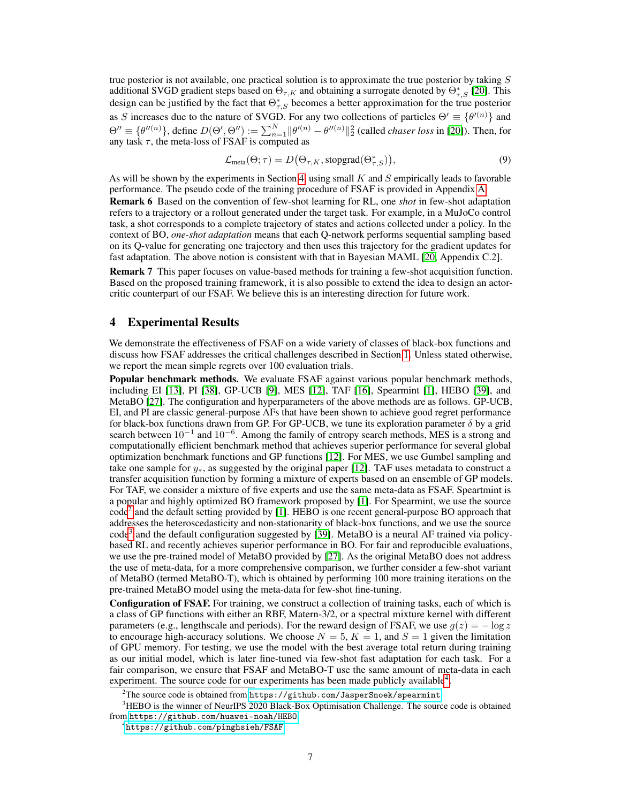true posterior is not available, one practical solution is to approximate the true posterior by taking  $S$ additional SVGD gradient steps based on  $\Theta_{\tau,K}$  and obtaining a surrogate denoted by  $\Theta_{\tau,S}^*$  [\[20\]](#page-11-5). This design can be justified by the fact that  $\Theta_{\tau,S}^*$  becomes a better approximation for the true posterior as S increases due to the nature of SVGD. For any two collections of particles  $\Theta' \equiv {\theta'}^{(n)}$  and  $\Theta'' \equiv \{\theta''^{(n)}\}\$ , define  $D(\Theta', \Theta'') := \sum_{n=1}^{N} ||\theta'^{(n)} - \theta''^{(n)}||_2^2$  (called *chaser loss* in [\[20\]](#page-11-5)). Then, for any task  $\tau$ , the meta-loss of FSAF is computed as

$$
\mathcal{L}_{\text{meta}}(\Theta; \tau) = D(\Theta_{\tau, K}, \text{stopgrad}(\Theta_{\tau, S}^*)),
$$
\n(9)

As will be shown by the experiments in Section [4,](#page-6-0) using small  $K$  and  $S$  empirically leads to favorable performance. The pseudo code of the training procedure of FSAF is provided in Appendix [A.](#page--1-2)

Remark 6 Based on the convention of few-shot learning for RL, one *shot* in few-shot adaptation refers to a trajectory or a rollout generated under the target task. For example, in a MuJoCo control task, a shot corresponds to a complete trajectory of states and actions collected under a policy. In the context of BO, *one-shot adaptation* means that each Q-network performs sequential sampling based on its Q-value for generating one trajectory and then uses this trajectory for the gradient updates for fast adaptation. The above notion is consistent with that in Bayesian MAML [\[20,](#page-11-5) Appendix C.2].

Remark 7 This paper focuses on value-based methods for training a few-shot acquisition function. Based on the proposed training framework, it is also possible to extend the idea to design an actorcritic counterpart of our FSAF. We believe this is an interesting direction for future work.

## <span id="page-6-0"></span>4 Experimental Results

We demonstrate the effectiveness of FSAF on a wide variety of classes of black-box functions and discuss how FSAF addresses the critical challenges described in Section [1.](#page-0-1) Unless stated otherwise, we report the mean simple regrets over 100 evaluation trials.

Popular benchmark methods. We evaluate FSAF against various popular benchmark methods, including EI [\[13\]](#page-10-8), PI [\[38\]](#page-11-20), GP-UCB [\[9\]](#page-10-5), MES [\[12\]](#page-10-7), TAF [\[16\]](#page-10-12), Spearmint [\[1\]](#page-10-0), HEBO [\[39\]](#page-12-0), and MetaBO [\[27\]](#page-11-9). The configuration and hyperparameters of the above methods are as follows. GP-UCB, EI, and PI are classic general-purpose AFs that have been shown to achieve good regret performance for black-box functions drawn from GP. For GP-UCB, we tune its exploration parameter  $\delta$  by a grid search between  $10^{-1}$  and  $10^{-6}$ . Among the family of entropy search methods, MES is a strong and computationally efficient benchmark method that achieves superior performance for several global optimization benchmark functions and GP functions [\[12\]](#page-10-7). For MES, we use Gumbel sampling and take one sample for  $y_*$ , as suggested by the original paper [\[12\]](#page-10-7). TAF uses metadata to construct a transfer acquisition function by forming a mixture of experts based on an ensemble of GP models. For TAF, we consider a mixture of five experts and use the same meta-data as FSAF. Speartmint is a popular and highly optimized BO framework proposed by [\[1\]](#page-10-0). For Spearmint, we use the source  $\text{code}^2$  $\text{code}^2$  and the default setting provided by [\[1\]](#page-10-0). HEBO is one recent general-purpose BO approach that addresses the heteroscedasticity and non-stationarity of black-box functions, and we use the source code<sup>[3](#page-0-0)</sup> and the default configuration suggested by [\[39\]](#page-12-0). MetaBO is a neural AF trained via policybased RL and recently achieves superior performance in BO. For fair and reproducible evaluations, we use the pre-trained model of MetaBO provided by [\[27\]](#page-11-9). As the original MetaBO does not address the use of meta-data, for a more comprehensive comparison, we further consider a few-shot variant of MetaBO (termed MetaBO-T), which is obtained by performing 100 more training iterations on the pre-trained MetaBO model using the meta-data for few-shot fine-tuning.

Configuration of FSAF. For training, we construct a collection of training tasks, each of which is a class of GP functions with either an RBF, Matern-3/2, or a spectral mixture kernel with different parameters (e.g., lengthscale and periods). For the reward design of FSAF, we use  $q(z) = -\log z$ to encourage high-accuracy solutions. We choose  $N = 5$ ,  $K = 1$ , and  $S = 1$  given the limitation of GPU memory. For testing, we use the model with the best average total return during training as our initial model, which is later fine-tuned via few-shot fast adaptation for each task. For a fair comparison, we ensure that FSAF and MetaBO-T use the same amount of meta-data in each experiment. The source code for our experiments has been made publicly available $4$ .

 $^{2}$ The source code is obtained from <code><https://github.com/JasperSnoek/spearmint>.</code>

<sup>&</sup>lt;sup>3</sup>HEBO is the winner of NeurIPS 2020 Black-Box Optimisation Challenge. The source code is obtained from <https://github.com/huawei-noah/HEBO>.

<sup>4</sup> <https://github.com/pinghsieh/FSAF>.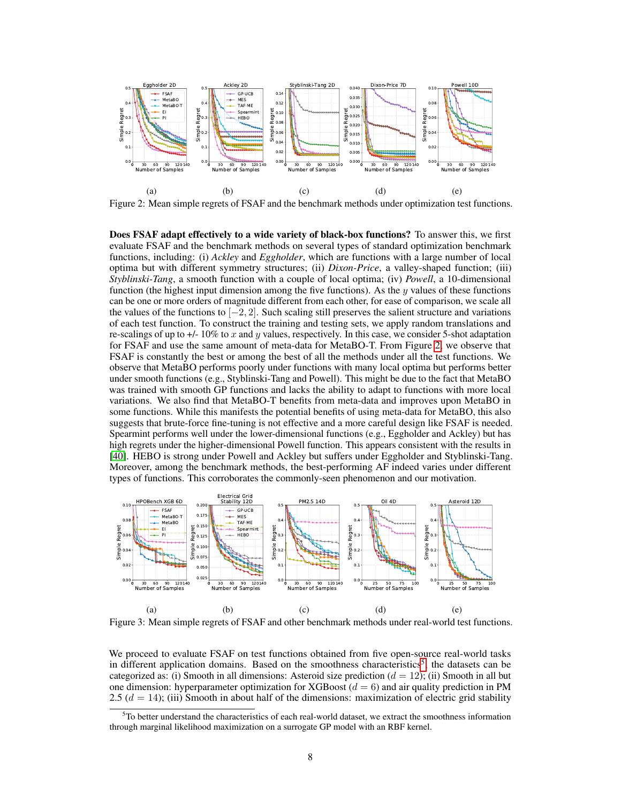

<span id="page-7-0"></span>Figure 2: Mean simple regrets of FSAF and the benchmark methods under optimization test functions.

Does FSAF adapt effectively to a wide variety of black-box functions? To answer this, we first evaluate FSAF and the benchmark methods on several types of standard optimization benchmark functions, including: (i) *Ackley* and *Eggholder*, which are functions with a large number of local optima but with different symmetry structures; (ii) *Dixon-Price*, a valley-shaped function; (iii) *Styblinski-Tang*, a smooth function with a couple of local optima; (iv) *Powell*, a 10-dimensional function (the highest input dimension among the five functions). As the  $y$  values of these functions can be one or more orders of magnitude different from each other, for ease of comparison, we scale all the values of the functions to  $[-2, 2]$ . Such scaling still preserves the salient structure and variations of each test function. To construct the training and testing sets, we apply random translations and re-scalings of up to  $+/-10\%$  to x and y values, respectively. In this case, we consider 5-shot adaptation for FSAF and use the same amount of meta-data for MetaBO-T. From Figure [2,](#page-7-0) we observe that FSAF is constantly the best or among the best of all the methods under all the test functions. We observe that MetaBO performs poorly under functions with many local optima but performs better under smooth functions (e.g., Styblinski-Tang and Powell). This might be due to the fact that MetaBO was trained with smooth GP functions and lacks the ability to adapt to functions with more local variations. We also find that MetaBO-T benefits from meta-data and improves upon MetaBO in some functions. While this manifests the potential benefits of using meta-data for MetaBO, this also suggests that brute-force fine-tuning is not effective and a more careful design like FSAF is needed. Spearmint performs well under the lower-dimensional functions (e.g., Eggholder and Ackley) but has high regrets under the higher-dimensional Powell function. This appears consistent with the results in [\[40\]](#page-12-1). HEBO is strong under Powell and Ackley but suffers under Eggholder and Styblinski-Tang. Moreover, among the benchmark methods, the best-performing AF indeed varies under different types of functions. This corroborates the commonly-seen phenomenon and our motivation.



<span id="page-7-1"></span>Figure 3: Mean simple regrets of FSAF and other benchmark methods under real-world test functions.

We proceed to evaluate FSAF on test functions obtained from five open-source real-world tasks in different application domains. Based on the smoothness characteristics<sup>[5](#page-0-0)</sup>, the datasets can be categorized as: (i) Smooth in all dimensions: Asteroid size prediction  $(d = 12)$ ; (ii) Smooth in all but one dimension: hyperparameter optimization for XGBoost  $(d = 6)$  and air quality prediction in PM 2.5 ( $d = 14$ ); (iii) Smooth in about half of the dimensions: maximization of electric grid stability

 $5T$ o better understand the characteristics of each real-world dataset, we extract the smoothness information through marginal likelihood maximization on a surrogate GP model with an RBF kernel.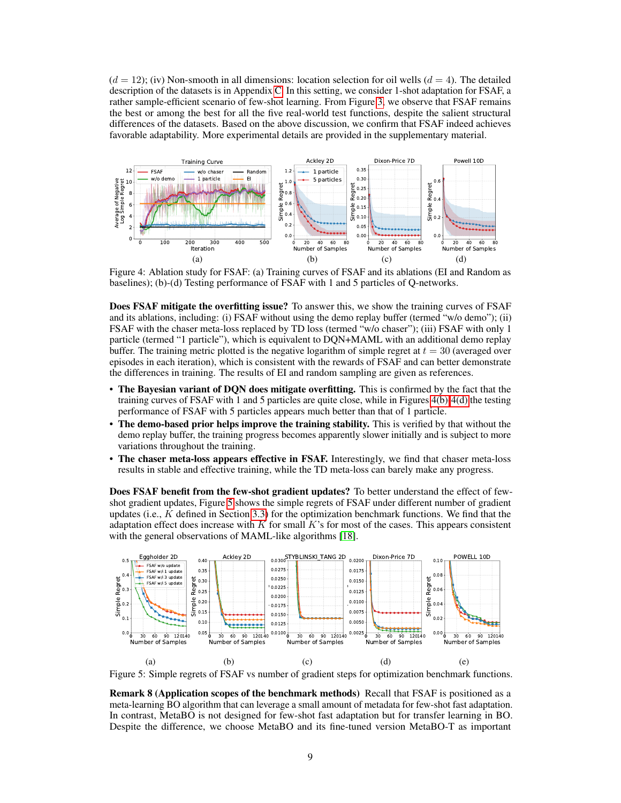$(d = 12)$ ; (iv) Non-smooth in all dimensions: location selection for oil wells  $(d = 4)$ . The detailed description of the datasets is in Appendix [C.](#page--1-0) In this setting, we consider 1-shot adaptation for FSAF, a rather sample-efficient scenario of few-shot learning. From Figure [3,](#page-7-1) we observe that FSAF remains the best or among the best for all the five real-world test functions, despite the salient structural differences of the datasets. Based on the above discussion, we confirm that FSAF indeed achieves favorable adaptability. More experimental details are provided in the supplementary material.



<span id="page-8-1"></span><span id="page-8-0"></span>Figure 4: Ablation study for FSAF: (a) Training curves of FSAF and its ablations (EI and Random as baselines); (b)-(d) Testing performance of FSAF with 1 and 5 particles of Q-networks.

Does FSAF mitigate the overfitting issue? To answer this, we show the training curves of FSAF and its ablations, including: (i) FSAF without using the demo replay buffer (termed "w/o demo"); (ii) FSAF with the chaser meta-loss replaced by TD loss (termed "w/o chaser"); (iii) FSAF with only 1 particle (termed "1 particle"), which is equivalent to DQN+MAML with an additional demo replay buffer. The training metric plotted is the negative logarithm of simple regret at  $t = 30$  (averaged over episodes in each iteration), which is consistent with the rewards of FSAF and can better demonstrate the differences in training. The results of EI and random sampling are given as references.

- The Bayesian variant of DQN does mitigate overfitting. This is confirmed by the fact that the training curves of FSAF with 1 and 5 particles are quite close, while in Figures [4\(b\)-](#page-8-0)[4\(d\)](#page-8-1) the testing performance of FSAF with 5 particles appears much better than that of 1 particle.
- The demo-based prior helps improve the training stability. This is verified by that without the demo replay buffer, the training progress becomes apparently slower initially and is subject to more variations throughout the training.
- The chaser meta-loss appears effective in FSAF. Interestingly, we find that chaser meta-loss results in stable and effective training, while the TD meta-loss can barely make any progress.

Does FSAF benefit from the few-shot gradient updates? To better understand the effect of fewshot gradient updates, Figure [5](#page-8-2) shows the simple regrets of FSAF under different number of gradient updates (i.e.,  $K$  defined in Section [3.3\)](#page-5-1) for the optimization benchmark functions. We find that the adaptation effect does increase with  $K$  for small  $K$ 's for most of the cases. This appears consistent with the general observations of MAML-like algorithms [\[18\]](#page-11-1).



<span id="page-8-2"></span>Figure 5: Simple regrets of FSAF vs number of gradient steps for optimization benchmark functions.

Remark 8 (Application scopes of the benchmark methods) Recall that FSAF is positioned as a meta-learning BO algorithm that can leverage a small amount of metadata for few-shot fast adaptation. In contrast, MetaBO is not designed for few-shot fast adaptation but for transfer learning in BO. Despite the difference, we choose MetaBO and its fine-tuned version MetaBO-T as important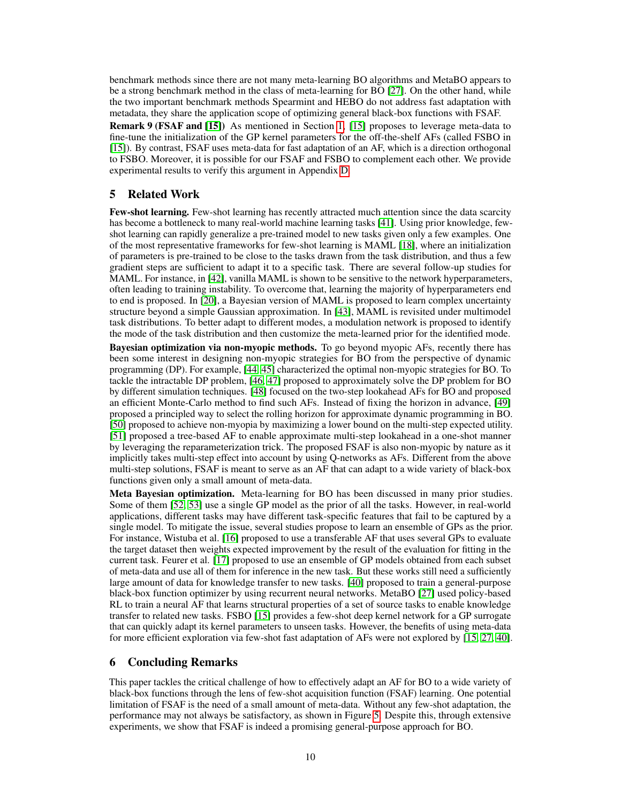benchmark methods since there are not many meta-learning BO algorithms and MetaBO appears to be a strong benchmark method in the class of meta-learning for BO [\[27\]](#page-11-9). On the other hand, while the two important benchmark methods Spearmint and HEBO do not address fast adaptation with metadata, they share the application scope of optimizing general black-box functions with FSAF.

Remark 9 (FSAF and [\[15\]](#page-10-11)) As mentioned in Section [1,](#page-0-1) [\[15\]](#page-10-11) proposes to leverage meta-data to fine-tune the initialization of the GP kernel parameters for the off-the-shelf AFs (called FSBO in [\[15\]](#page-10-11)). By contrast, FSAF uses meta-data for fast adaptation of an AF, which is a direction orthogonal to FSBO. Moreover, it is possible for our FSAF and FSBO to complement each other. We provide experimental results to verify this argument in Appendix [D.](#page--1-3)

# 5 Related Work

Few-shot learning. Few-shot learning has recently attracted much attention since the data scarcity has become a bottleneck to many real-world machine learning tasks [\[41\]](#page-12-2). Using prior knowledge, fewshot learning can rapidly generalize a pre-trained model to new tasks given only a few examples. One of the most representative frameworks for few-shot learning is MAML [\[18\]](#page-11-1), where an initialization of parameters is pre-trained to be close to the tasks drawn from the task distribution, and thus a few gradient steps are sufficient to adapt it to a specific task. There are several follow-up studies for MAML. For instance, in [\[42\]](#page-12-3), vanilla MAML is shown to be sensitive to the network hyperparameters, often leading to training instability. To overcome that, learning the majority of hyperparameters end to end is proposed. In [\[20\]](#page-11-5), a Bayesian version of MAML is proposed to learn complex uncertainty structure beyond a simple Gaussian approximation. In [\[43\]](#page-12-4), MAML is revisited under multimodel task distributions. To better adapt to different modes, a modulation network is proposed to identify the mode of the task distribution and then customize the meta-learned prior for the identified mode.

Bayesian optimization via non-myopic methods. To go beyond myopic AFs, recently there has been some interest in designing non-myopic strategies for BO from the perspective of dynamic programming (DP). For example, [\[44,](#page-12-5) [45\]](#page-12-6) characterized the optimal non-myopic strategies for BO. To tackle the intractable DP problem, [\[46,](#page-12-7) [47\]](#page-12-8) proposed to approximately solve the DP problem for BO by different simulation techniques. [\[48\]](#page-12-9) focused on the two-step lookahead AFs for BO and proposed an efficient Monte-Carlo method to find such AFs. Instead of fixing the horizon in advance, [\[49\]](#page-12-10) proposed a principled way to select the rolling horizon for approximate dynamic programming in BO. [\[50\]](#page-12-11) proposed to achieve non-myopia by maximizing a lower bound on the multi-step expected utility. [\[51\]](#page-12-12) proposed a tree-based AF to enable approximate multi-step lookahead in a one-shot manner by leveraging the reparameterization trick. The proposed FSAF is also non-myopic by nature as it implicitly takes multi-step effect into account by using Q-networks as AFs. Different from the above multi-step solutions, FSAF is meant to serve as an AF that can adapt to a wide variety of black-box functions given only a small amount of meta-data.

Meta Bayesian optimization. Meta-learning for BO has been discussed in many prior studies. Some of them [\[52,](#page-12-13) [53\]](#page-12-14) use a single GP model as the prior of all the tasks. However, in real-world applications, different tasks may have different task-specific features that fail to be captured by a single model. To mitigate the issue, several studies propose to learn an ensemble of GPs as the prior. For instance, Wistuba et al. [\[16\]](#page-10-12) proposed to use a transferable AF that uses several GPs to evaluate the target dataset then weights expected improvement by the result of the evaluation for fitting in the current task. Feurer et al. [\[17\]](#page-11-0) proposed to use an ensemble of GP models obtained from each subset of meta-data and use all of them for inference in the new task. But these works still need a sufficiently large amount of data for knowledge transfer to new tasks. [\[40\]](#page-12-1) proposed to train a general-purpose black-box function optimizer by using recurrent neural networks. MetaBO [\[27\]](#page-11-9) used policy-based RL to train a neural AF that learns structural properties of a set of source tasks to enable knowledge transfer to related new tasks. FSBO [\[15\]](#page-10-11) provides a few-shot deep kernel network for a GP surrogate that can quickly adapt its kernel parameters to unseen tasks. However, the benefits of using meta-data for more efficient exploration via few-shot fast adaptation of AFs were not explored by [\[15,](#page-10-11) [27,](#page-11-9) [40\]](#page-12-1).

#### <span id="page-9-0"></span>6 Concluding Remarks

This paper tackles the critical challenge of how to effectively adapt an AF for BO to a wide variety of black-box functions through the lens of few-shot acquisition function (FSAF) learning. One potential limitation of FSAF is the need of a small amount of meta-data. Without any few-shot adaptation, the performance may not always be satisfactory, as shown in Figure [5.](#page-8-2) Despite this, through extensive experiments, we show that FSAF is indeed a promising general-purpose approach for BO.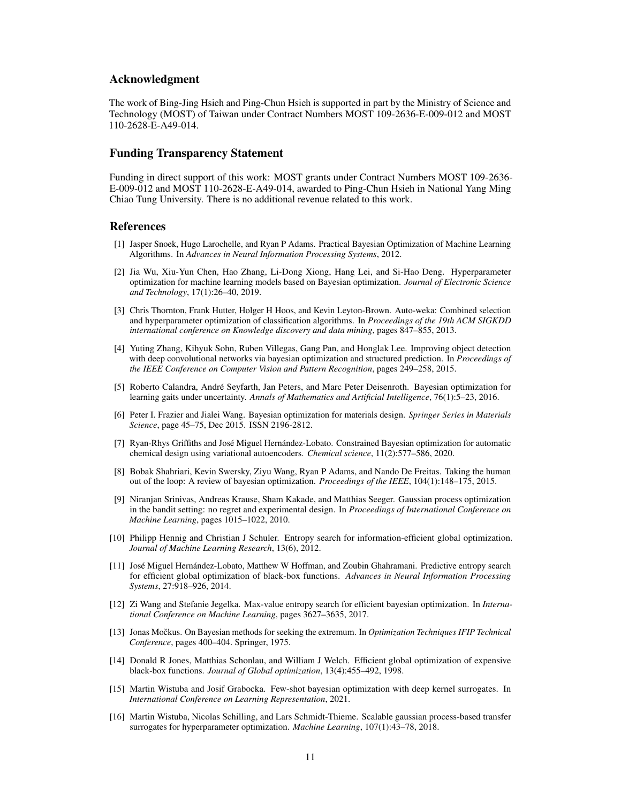#### Acknowledgment

The work of Bing-Jing Hsieh and Ping-Chun Hsieh is supported in part by the Ministry of Science and Technology (MOST) of Taiwan under Contract Numbers MOST 109-2636-E-009-012 and MOST 110-2628-E-A49-014.

#### Funding Transparency Statement

Funding in direct support of this work: MOST grants under Contract Numbers MOST 109-2636- E-009-012 and MOST 110-2628-E-A49-014, awarded to Ping-Chun Hsieh in National Yang Ming Chiao Tung University. There is no additional revenue related to this work.

## **References**

- <span id="page-10-0"></span>[1] Jasper Snoek, Hugo Larochelle, and Ryan P Adams. Practical Bayesian Optimization of Machine Learning Algorithms. In *Advances in Neural Information Processing Systems*, 2012.
- [2] Jia Wu, Xiu-Yun Chen, Hao Zhang, Li-Dong Xiong, Hang Lei, and Si-Hao Deng. Hyperparameter optimization for machine learning models based on Bayesian optimization. *Journal of Electronic Science and Technology*, 17(1):26–40, 2019.
- [3] Chris Thornton, Frank Hutter, Holger H Hoos, and Kevin Leyton-Brown. Auto-weka: Combined selection and hyperparameter optimization of classification algorithms. In *Proceedings of the 19th ACM SIGKDD international conference on Knowledge discovery and data mining*, pages 847–855, 2013.
- <span id="page-10-1"></span>[4] Yuting Zhang, Kihyuk Sohn, Ruben Villegas, Gang Pan, and Honglak Lee. Improving object detection with deep convolutional networks via bayesian optimization and structured prediction. In *Proceedings of the IEEE Conference on Computer Vision and Pattern Recognition*, pages 249–258, 2015.
- <span id="page-10-2"></span>[5] Roberto Calandra, André Seyfarth, Jan Peters, and Marc Peter Deisenroth. Bayesian optimization for learning gaits under uncertainty. *Annals of Mathematics and Artificial Intelligence*, 76(1):5–23, 2016.
- <span id="page-10-3"></span>[6] Peter I. Frazier and Jialei Wang. Bayesian optimization for materials design. *Springer Series in Materials Science*, page 45–75, Dec 2015. ISSN 2196-2812.
- [7] Ryan-Rhys Griffiths and José Miguel Hernández-Lobato. Constrained Bayesian optimization for automatic chemical design using variational autoencoders. *Chemical science*, 11(2):577–586, 2020.
- <span id="page-10-4"></span>[8] Bobak Shahriari, Kevin Swersky, Ziyu Wang, Ryan P Adams, and Nando De Freitas. Taking the human out of the loop: A review of bayesian optimization. *Proceedings of the IEEE*, 104(1):148–175, 2015.
- <span id="page-10-5"></span>[9] Niranjan Srinivas, Andreas Krause, Sham Kakade, and Matthias Seeger. Gaussian process optimization in the bandit setting: no regret and experimental design. In *Proceedings of International Conference on Machine Learning*, pages 1015–1022, 2010.
- <span id="page-10-6"></span>[10] Philipp Hennig and Christian J Schuler. Entropy search for information-efficient global optimization. *Journal of Machine Learning Research*, 13(6), 2012.
- <span id="page-10-10"></span>[11] José Miguel Hernández-Lobato, Matthew W Hoffman, and Zoubin Ghahramani. Predictive entropy search for efficient global optimization of black-box functions. *Advances in Neural Information Processing Systems*, 27:918–926, 2014.
- <span id="page-10-7"></span>[12] Zi Wang and Stefanie Jegelka. Max-value entropy search for efficient bayesian optimization. In *International Conference on Machine Learning*, pages 3627–3635, 2017.
- <span id="page-10-8"></span>[13] Jonas Močkus. On Bayesian methods for seeking the extremum. In *Optimization Techniques IFIP Technical Conference*, pages 400–404. Springer, 1975.
- <span id="page-10-9"></span>[14] Donald R Jones, Matthias Schonlau, and William J Welch. Efficient global optimization of expensive black-box functions. *Journal of Global optimization*, 13(4):455–492, 1998.
- <span id="page-10-11"></span>[15] Martin Wistuba and Josif Grabocka. Few-shot bayesian optimization with deep kernel surrogates. In *International Conference on Learning Representation*, 2021.
- <span id="page-10-12"></span>[16] Martin Wistuba, Nicolas Schilling, and Lars Schmidt-Thieme. Scalable gaussian process-based transfer surrogates for hyperparameter optimization. *Machine Learning*, 107(1):43–78, 2018.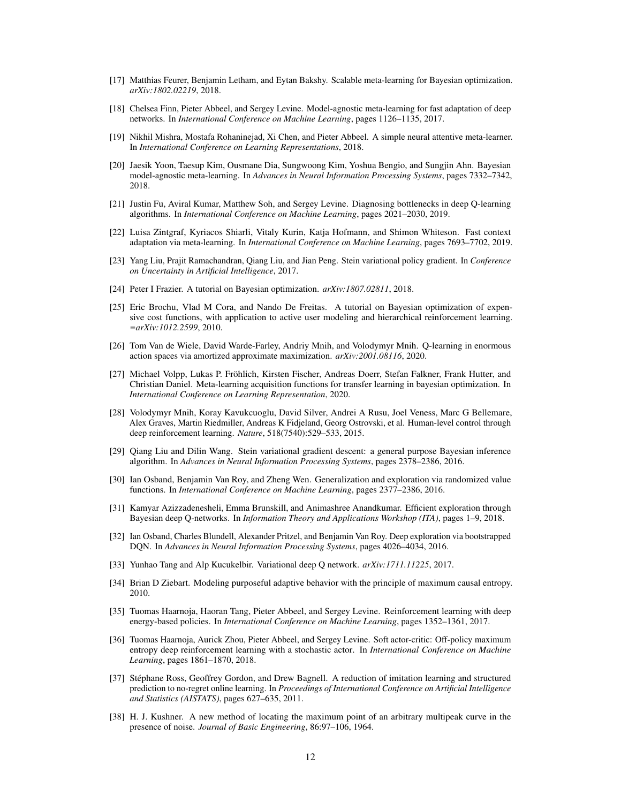- <span id="page-11-0"></span>[17] Matthias Feurer, Benjamin Letham, and Eytan Bakshy. Scalable meta-learning for Bayesian optimization. *arXiv:1802.02219*, 2018.
- <span id="page-11-1"></span>[18] Chelsea Finn, Pieter Abbeel, and Sergey Levine. Model-agnostic meta-learning for fast adaptation of deep networks. In *International Conference on Machine Learning*, pages 1126–1135, 2017.
- <span id="page-11-2"></span>[19] Nikhil Mishra, Mostafa Rohaninejad, Xi Chen, and Pieter Abbeel. A simple neural attentive meta-learner. In *International Conference on Learning Representations*, 2018.
- <span id="page-11-5"></span>[20] Jaesik Yoon, Taesup Kim, Ousmane Dia, Sungwoong Kim, Yoshua Bengio, and Sungjin Ahn. Bayesian model-agnostic meta-learning. In *Advances in Neural Information Processing Systems*, pages 7332–7342, 2018.
- [21] Justin Fu, Aviral Kumar, Matthew Soh, and Sergey Levine. Diagnosing bottlenecks in deep Q-learning algorithms. In *International Conference on Machine Learning*, pages 2021–2030, 2019.
- <span id="page-11-3"></span>[22] Luisa Zintgraf, Kyriacos Shiarli, Vitaly Kurin, Katja Hofmann, and Shimon Whiteson. Fast context adaptation via meta-learning. In *International Conference on Machine Learning*, pages 7693–7702, 2019.
- <span id="page-11-4"></span>[23] Yang Liu, Prajit Ramachandran, Qiang Liu, and Jian Peng. Stein variational policy gradient. In *Conference on Uncertainty in Artificial Intelligence*, 2017.
- <span id="page-11-6"></span>[24] Peter I Frazier. A tutorial on Bayesian optimization. *arXiv:1807.02811*, 2018.
- <span id="page-11-7"></span>[25] Eric Brochu, Vlad M Cora, and Nando De Freitas. A tutorial on Bayesian optimization of expensive cost functions, with application to active user modeling and hierarchical reinforcement learning. *=arXiv:1012.2599*, 2010.
- <span id="page-11-8"></span>[26] Tom Van de Wiele, David Warde-Farley, Andriy Mnih, and Volodymyr Mnih. Q-learning in enormous action spaces via amortized approximate maximization. *arXiv:2001.08116*, 2020.
- <span id="page-11-9"></span>[27] Michael Volpp, Lukas P. Fröhlich, Kirsten Fischer, Andreas Doerr, Stefan Falkner, Frank Hutter, and Christian Daniel. Meta-learning acquisition functions for transfer learning in bayesian optimization. In *International Conference on Learning Representation*, 2020.
- <span id="page-11-10"></span>[28] Volodymyr Mnih, Koray Kavukcuoglu, David Silver, Andrei A Rusu, Joel Veness, Marc G Bellemare, Alex Graves, Martin Riedmiller, Andreas K Fidjeland, Georg Ostrovski, et al. Human-level control through deep reinforcement learning. *Nature*, 518(7540):529–533, 2015.
- <span id="page-11-11"></span>[29] Qiang Liu and Dilin Wang. Stein variational gradient descent: a general purpose Bayesian inference algorithm. In *Advances in Neural Information Processing Systems*, pages 2378–2386, 2016.
- <span id="page-11-12"></span>[30] Ian Osband, Benjamin Van Roy, and Zheng Wen. Generalization and exploration via randomized value functions. In *International Conference on Machine Learning*, pages 2377–2386, 2016.
- <span id="page-11-14"></span>[31] Kamyar Azizzadenesheli, Emma Brunskill, and Animashree Anandkumar. Efficient exploration through Bayesian deep Q-networks. In *Information Theory and Applications Workshop (ITA)*, pages 1–9, 2018.
- <span id="page-11-15"></span>[32] Ian Osband, Charles Blundell, Alexander Pritzel, and Benjamin Van Roy. Deep exploration via bootstrapped DQN. In *Advances in Neural Information Processing Systems*, pages 4026–4034, 2016.
- <span id="page-11-13"></span>[33] Yunhao Tang and Alp Kucukelbir. Variational deep Q network. *arXiv:1711.11225*, 2017.
- <span id="page-11-16"></span>[34] Brian D Ziebart. Modeling purposeful adaptive behavior with the principle of maximum causal entropy. 2010.
- <span id="page-11-17"></span>[35] Tuomas Haarnoja, Haoran Tang, Pieter Abbeel, and Sergey Levine. Reinforcement learning with deep energy-based policies. In *International Conference on Machine Learning*, pages 1352–1361, 2017.
- <span id="page-11-18"></span>[36] Tuomas Haarnoja, Aurick Zhou, Pieter Abbeel, and Sergey Levine. Soft actor-critic: Off-policy maximum entropy deep reinforcement learning with a stochastic actor. In *International Conference on Machine Learning*, pages 1861–1870, 2018.
- <span id="page-11-19"></span>[37] Stéphane Ross, Geoffrey Gordon, and Drew Bagnell. A reduction of imitation learning and structured prediction to no-regret online learning. In *Proceedings of International Conference on Artificial Intelligence and Statistics (AISTATS)*, pages 627–635, 2011.
- <span id="page-11-20"></span>[38] H. J. Kushner. A new method of locating the maximum point of an arbitrary multipeak curve in the presence of noise. *Journal of Basic Engineering*, 86:97–106, 1964.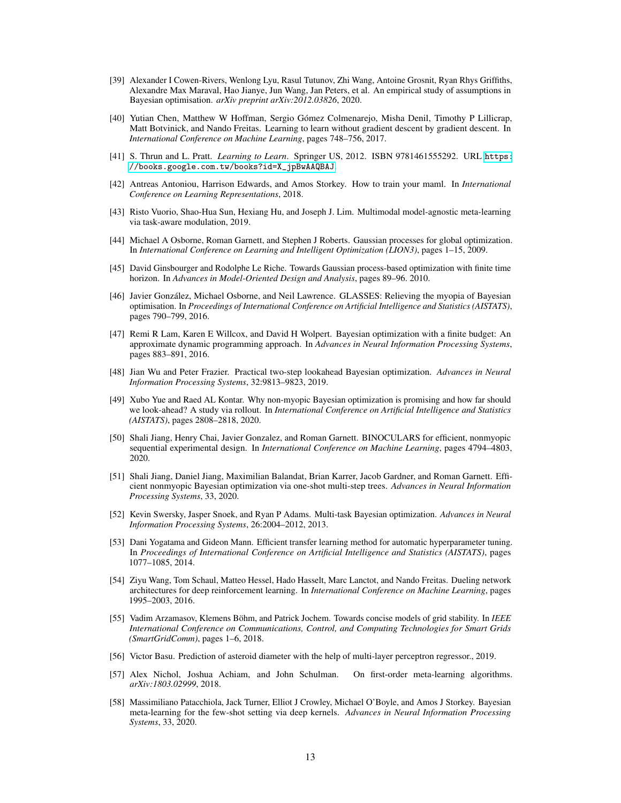- <span id="page-12-0"></span>[39] Alexander I Cowen-Rivers, Wenlong Lyu, Rasul Tutunov, Zhi Wang, Antoine Grosnit, Ryan Rhys Griffiths, Alexandre Max Maraval, Hao Jianye, Jun Wang, Jan Peters, et al. An empirical study of assumptions in Bayesian optimisation. *arXiv preprint arXiv:2012.03826*, 2020.
- <span id="page-12-1"></span>[40] Yutian Chen, Matthew W Hoffman, Sergio Gómez Colmenarejo, Misha Denil, Timothy P Lillicrap, Matt Botvinick, and Nando Freitas. Learning to learn without gradient descent by gradient descent. In *International Conference on Machine Learning*, pages 748–756, 2017.
- <span id="page-12-2"></span>[41] S. Thrun and L. Pratt. *Learning to Learn*. Springer US, 2012. ISBN 9781461555292. URL [https:](https://books.google.com.tw/books?id=X_jpBwAAQBAJ) [//books.google.com.tw/books?id=X\\_jpBwAAQBAJ](https://books.google.com.tw/books?id=X_jpBwAAQBAJ).
- <span id="page-12-3"></span>[42] Antreas Antoniou, Harrison Edwards, and Amos Storkey. How to train your maml. In *International Conference on Learning Representations*, 2018.
- <span id="page-12-4"></span>[43] Risto Vuorio, Shao-Hua Sun, Hexiang Hu, and Joseph J. Lim. Multimodal model-agnostic meta-learning via task-aware modulation, 2019.
- <span id="page-12-5"></span>[44] Michael A Osborne, Roman Garnett, and Stephen J Roberts. Gaussian processes for global optimization. In *International Conference on Learning and Intelligent Optimization (LION3)*, pages 1–15, 2009.
- <span id="page-12-6"></span>[45] David Ginsbourger and Rodolphe Le Riche. Towards Gaussian process-based optimization with finite time horizon. In *Advances in Model-Oriented Design and Analysis*, pages 89–96. 2010.
- <span id="page-12-7"></span>[46] Javier González, Michael Osborne, and Neil Lawrence. GLASSES: Relieving the myopia of Bayesian optimisation. In *Proceedings of International Conference on Artificial Intelligence and Statistics (AISTATS)*, pages 790–799, 2016.
- <span id="page-12-8"></span>[47] Remi R Lam, Karen E Willcox, and David H Wolpert. Bayesian optimization with a finite budget: An approximate dynamic programming approach. In *Advances in Neural Information Processing Systems*, pages 883–891, 2016.
- <span id="page-12-9"></span>[48] Jian Wu and Peter Frazier. Practical two-step lookahead Bayesian optimization. *Advances in Neural Information Processing Systems*, 32:9813–9823, 2019.
- <span id="page-12-10"></span>[49] Xubo Yue and Raed AL Kontar. Why non-myopic Bayesian optimization is promising and how far should we look-ahead? A study via rollout. In *International Conference on Artificial Intelligence and Statistics (AISTATS)*, pages 2808–2818, 2020.
- <span id="page-12-11"></span>[50] Shali Jiang, Henry Chai, Javier Gonzalez, and Roman Garnett. BINOCULARS for efficient, nonmyopic sequential experimental design. In *International Conference on Machine Learning*, pages 4794–4803, 2020.
- <span id="page-12-12"></span>[51] Shali Jiang, Daniel Jiang, Maximilian Balandat, Brian Karrer, Jacob Gardner, and Roman Garnett. Efficient nonmyopic Bayesian optimization via one-shot multi-step trees. *Advances in Neural Information Processing Systems*, 33, 2020.
- <span id="page-12-13"></span>[52] Kevin Swersky, Jasper Snoek, and Ryan P Adams. Multi-task Bayesian optimization. *Advances in Neural Information Processing Systems*, 26:2004–2012, 2013.
- <span id="page-12-14"></span>[53] Dani Yogatama and Gideon Mann. Efficient transfer learning method for automatic hyperparameter tuning. In *Proceedings of International Conference on Artificial Intelligence and Statistics (AISTATS)*, pages 1077–1085, 2014.
- [54] Ziyu Wang, Tom Schaul, Matteo Hessel, Hado Hasselt, Marc Lanctot, and Nando Freitas. Dueling network architectures for deep reinforcement learning. In *International Conference on Machine Learning*, pages 1995–2003, 2016.
- [55] Vadim Arzamasov, Klemens Böhm, and Patrick Jochem. Towards concise models of grid stability. In *IEEE International Conference on Communications, Control, and Computing Technologies for Smart Grids (SmartGridComm)*, pages 1–6, 2018.
- [56] Victor Basu. Prediction of asteroid diameter with the help of multi-layer perceptron regressor., 2019.
- [57] Alex Nichol, Joshua Achiam, and John Schulman. On first-order meta-learning algorithms. *arXiv:1803.02999*, 2018.
- [58] Massimiliano Patacchiola, Jack Turner, Elliot J Crowley, Michael O'Boyle, and Amos J Storkey. Bayesian meta-learning for the few-shot setting via deep kernels. *Advances in Neural Information Processing Systems*, 33, 2020.